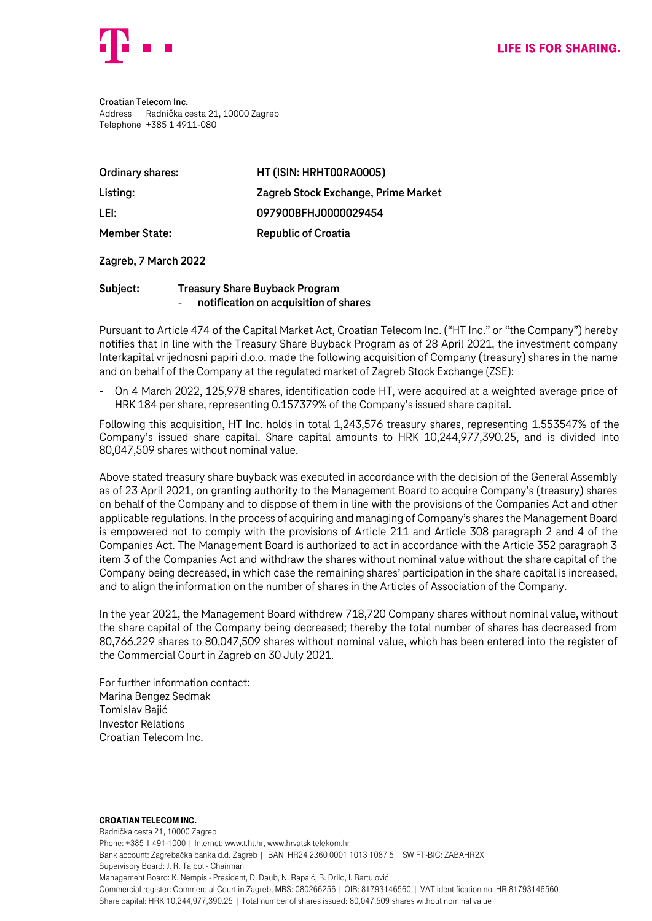

**Croatian Telecom Inc.** Address Radnička cesta 21, 10000 Zagreb Telephone +385 1 4911-080

| <b>Ordinary shares:</b> | HT (ISIN: HRHTOORAOOO5)             |
|-------------------------|-------------------------------------|
| Listing:                | Zagreb Stock Exchange, Prime Market |
| LEI:                    | 097900BFHJ0000029454                |
| <b>Member State:</b>    | <b>Republic of Croatia</b>          |

## **Zagreb, 7 March 2022**

## **Subject: Treasury Share Buyback Program** - **notification on acquisition of shares**

Pursuant to Article 474 of the Capital Market Act, Croatian Telecom Inc. ("HT Inc." or "the Company") hereby notifies that in line with the Treasury Share Buyback Program as of 28 April 2021, the investment company Interkapital vrijednosni papiri d.o.o. made the following acquisition of Company (treasury) shares in the name and on behalf of the Company at the regulated market of Zagreb Stock Exchange (ZSE):

- On 4 March 2022, 125,978 shares, identification code HT, were acquired at a weighted average price of HRK 184 per share, representing 0.157379% of the Company's issued share capital.

Following this acquisition, HT Inc. holds in total 1,243,576 treasury shares, representing 1.553547% of the Company's issued share capital. Share capital amounts to HRK 10,244,977,390.25, and is divided into 80,047,509 shares without nominal value.

Above stated treasury share buyback was executed in accordance with the decision of the General Assembly as of 23 April 2021, on granting authority to the Management Board to acquire Company's (treasury) shares on behalf of the Company and to dispose of them in line with the provisions of the Companies Act and other applicable regulations. In the process of acquiring and managing of Company's shares the Management Board is empowered not to comply with the provisions of Article 211 and Article 308 paragraph 2 and 4 of the Companies Act. The Management Board is authorized to act in accordance with the Article 352 paragraph 3 item 3 of the Companies Act and withdraw the shares without nominal value without the share capital of the Company being decreased, in which case the remaining shares' participation in the share capital is increased, and to align the information on the number of shares in the Articles of Association of the Company.

In the year 2021, the Management Board withdrew 718,720 Company shares without nominal value, without the share capital of the Company being decreased; thereby the total number of shares has decreased from 80,766,229 shares to 80,047,509 shares without nominal value, which has been entered into the register of the Commercial Court in Zagreb on 30 July 2021.

For further information contact: Marina Bengez Sedmak Tomislav Bajić Investor Relations Croatian Telecom Inc.

## Croatian Telecom Inc.

Radnička cesta 21, 10000 Zagreb Phone: +385 1 491-1000 | Internet: www.t.ht.hr, www.hrvatskitelekom.hr Bank account: Zagrebačka banka d.d. Zagreb | IBAN: HR24 2360 0001 1013 1087 5 | SWIFT-BIC: ZABAHR2X Supervisory Board: J. R. Talbot - Chairman Management Board: K. Nempis - President, D. Daub, N. Rapaić, B. Drilo, I. Bartulović Commercial register: Commercial Court in Zagreb, MBS: 080266256 | OIB: 81793146560 | VAT identification no. HR 81793146560 Share capital: HRK 10,244,977,390.25 | Total number of shares issued: 80,047,509 shares without nominal value